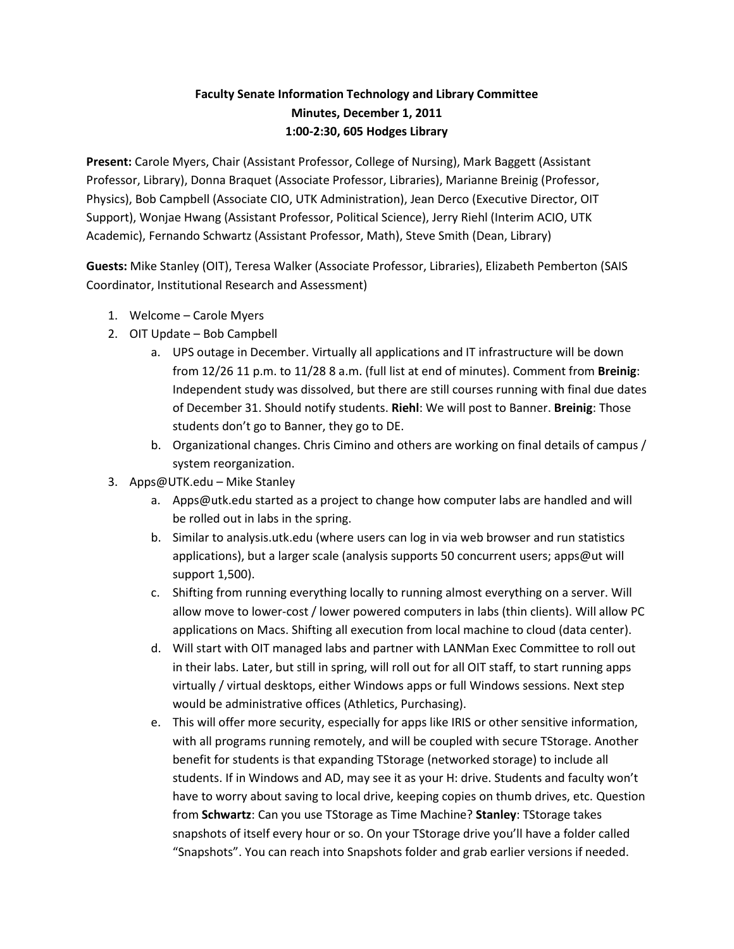## **Faculty Senate Information Technology and Library Committee Minutes, December 1, 2011 1:00-2:30, 605 Hodges Library**

**Present:** Carole Myers, Chair (Assistant Professor, College of Nursing), Mark Baggett (Assistant Professor, Library), Donna Braquet (Associate Professor, Libraries), Marianne Breinig (Professor, Physics), Bob Campbell (Associate CIO, UTK Administration), Jean Derco (Executive Director, OIT Support), Wonjae Hwang (Assistant Professor, Political Science), Jerry Riehl (Interim ACIO, UTK Academic), Fernando Schwartz (Assistant Professor, Math), Steve Smith (Dean, Library)

**Guests:** Mike Stanley (OIT), Teresa Walker (Associate Professor, Libraries), Elizabeth Pemberton (SAIS Coordinator, Institutional Research and Assessment)

- 1. Welcome Carole Myers
- 2. OIT Update Bob Campbell
	- a. UPS outage in December. Virtually all applications and IT infrastructure will be down from 12/26 11 p.m. to 11/28 8 a.m. (full list at end of minutes). Comment from **Breinig**: Independent study was dissolved, but there are still courses running with final due dates of December 31. Should notify students. **Riehl**: We will post to Banner. **Breinig**: Those students don't go to Banner, they go to DE.
	- b. Organizational changes. Chris Cimino and others are working on final details of campus / system reorganization.
- 3. Apps@UTK.edu Mike Stanley
	- a. Apps@utk.edu started as a project to change how computer labs are handled and will be rolled out in labs in the spring.
	- b. Similar to analysis.utk.edu (where users can log in via web browser and run statistics applications), but a larger scale (analysis supports 50 concurrent users; apps@ut will support 1,500).
	- c. Shifting from running everything locally to running almost everything on a server. Will allow move to lower-cost / lower powered computers in labs (thin clients). Will allow PC applications on Macs. Shifting all execution from local machine to cloud (data center).
	- d. Will start with OIT managed labs and partner with LANMan Exec Committee to roll out in their labs. Later, but still in spring, will roll out for all OIT staff, to start running apps virtually / virtual desktops, either Windows apps or full Windows sessions. Next step would be administrative offices (Athletics, Purchasing).
	- e. This will offer more security, especially for apps like IRIS or other sensitive information, with all programs running remotely, and will be coupled with secure TStorage. Another benefit for students is that expanding TStorage (networked storage) to include all students. If in Windows and AD, may see it as your H: drive. Students and faculty won't have to worry about saving to local drive, keeping copies on thumb drives, etc. Question from **Schwartz**: Can you use TStorage as Time Machine? **Stanley**: TStorage takes snapshots of itself every hour or so. On your TStorage drive you'll have a folder called "Snapshots". You can reach into Snapshots folder and grab earlier versions if needed.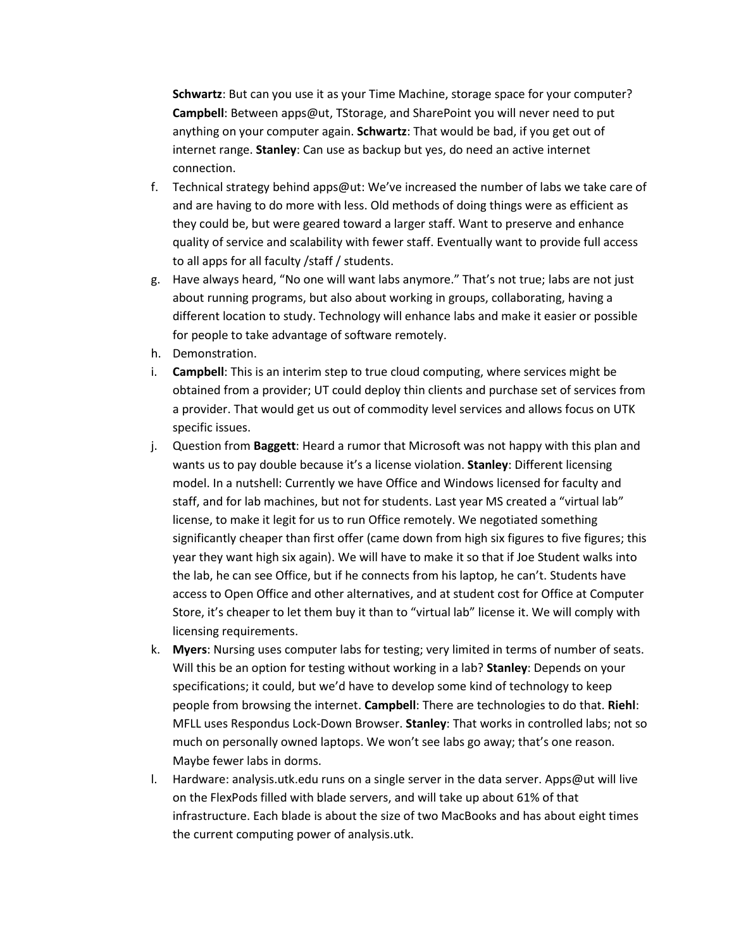**Schwartz**: But can you use it as your Time Machine, storage space for your computer? **Campbell**: Between apps@ut, TStorage, and SharePoint you will never need to put anything on your computer again. **Schwartz**: That would be bad, if you get out of internet range. **Stanley**: Can use as backup but yes, do need an active internet connection.

- f. Technical strategy behind apps@ut: We've increased the number of labs we take care of and are having to do more with less. Old methods of doing things were as efficient as they could be, but were geared toward a larger staff. Want to preserve and enhance quality of service and scalability with fewer staff. Eventually want to provide full access to all apps for all faculty /staff / students.
- g. Have always heard, "No one will want labs anymore." That's not true; labs are not just about running programs, but also about working in groups, collaborating, having a different location to study. Technology will enhance labs and make it easier or possible for people to take advantage of software remotely.
- h. Demonstration.
- i. **Campbell**: This is an interim step to true cloud computing, where services might be obtained from a provider; UT could deploy thin clients and purchase set of services from a provider. That would get us out of commodity level services and allows focus on UTK specific issues.
- j. Question from **Baggett**: Heard a rumor that Microsoft was not happy with this plan and wants us to pay double because it's a license violation. **Stanley**: Different licensing model. In a nutshell: Currently we have Office and Windows licensed for faculty and staff, and for lab machines, but not for students. Last year MS created a "virtual lab" license, to make it legit for us to run Office remotely. We negotiated something significantly cheaper than first offer (came down from high six figures to five figures; this year they want high six again). We will have to make it so that if Joe Student walks into the lab, he can see Office, but if he connects from his laptop, he can't. Students have access to Open Office and other alternatives, and at student cost for Office at Computer Store, it's cheaper to let them buy it than to "virtual lab" license it. We will comply with licensing requirements.
- k. **Myers**: Nursing uses computer labs for testing; very limited in terms of number of seats. Will this be an option for testing without working in a lab? **Stanley**: Depends on your specifications; it could, but we'd have to develop some kind of technology to keep people from browsing the internet. **Campbell**: There are technologies to do that. **Riehl**: MFLL uses Respondus Lock-Down Browser. **Stanley**: That works in controlled labs; not so much on personally owned laptops. We won't see labs go away; that's one reason. Maybe fewer labs in dorms.
- l. Hardware: analysis.utk.edu runs on a single server in the data server. Apps@ut will live on the FlexPods filled with blade servers, and will take up about 61% of that infrastructure. Each blade is about the size of two MacBooks and has about eight times the current computing power of analysis.utk.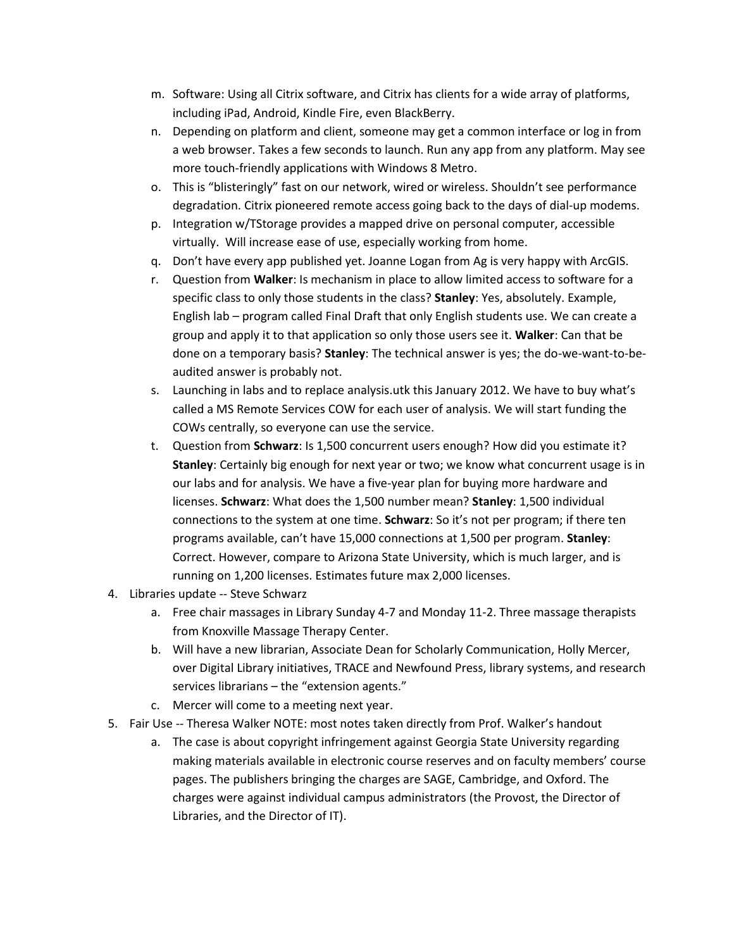- m. Software: Using all Citrix software, and Citrix has clients for a wide array of platforms, including iPad, Android, Kindle Fire, even BlackBerry.
- n. Depending on platform and client, someone may get a common interface or log in from a web browser. Takes a few seconds to launch. Run any app from any platform. May see more touch-friendly applications with Windows 8 Metro.
- o. This is "blisteringly" fast on our network, wired or wireless. Shouldn't see performance degradation. Citrix pioneered remote access going back to the days of dial-up modems.
- p. Integration w/TStorage provides a mapped drive on personal computer, accessible virtually. Will increase ease of use, especially working from home.
- q. Don't have every app published yet. Joanne Logan from Ag is very happy with ArcGIS.
- r. Question from **Walker**: Is mechanism in place to allow limited access to software for a specific class to only those students in the class? **Stanley**: Yes, absolutely. Example, English lab – program called Final Draft that only English students use. We can create a group and apply it to that application so only those users see it. **Walker**: Can that be done on a temporary basis? **Stanley**: The technical answer is yes; the do-we-want-to-beaudited answer is probably not.
- s. Launching in labs and to replace analysis.utk this January 2012. We have to buy what's called a MS Remote Services COW for each user of analysis. We will start funding the COWs centrally, so everyone can use the service.
- t. Question from **Schwarz**: Is 1,500 concurrent users enough? How did you estimate it? **Stanley**: Certainly big enough for next year or two; we know what concurrent usage is in our labs and for analysis. We have a five-year plan for buying more hardware and licenses. **Schwarz**: What does the 1,500 number mean? **Stanley**: 1,500 individual connections to the system at one time. **Schwarz**: So it's not per program; if there ten programs available, can't have 15,000 connections at 1,500 per program. **Stanley**: Correct. However, compare to Arizona State University, which is much larger, and is running on 1,200 licenses. Estimates future max 2,000 licenses.
- 4. Libraries update -- Steve Schwarz
	- a. Free chair massages in Library Sunday 4-7 and Monday 11-2. Three massage therapists from Knoxville Massage Therapy Center.
	- b. Will have a new librarian, Associate Dean for Scholarly Communication, Holly Mercer, over Digital Library initiatives, TRACE and Newfound Press, library systems, and research services librarians – the "extension agents."
	- c. Mercer will come to a meeting next year.
- 5. Fair Use -- Theresa Walker NOTE: most notes taken directly from Prof. Walker's handout
	- a. The case is about copyright infringement against Georgia State University regarding making materials available in electronic course reserves and on faculty members' course pages. The publishers bringing the charges are SAGE, Cambridge, and Oxford. The charges were against individual campus administrators (the Provost, the Director of Libraries, and the Director of IT).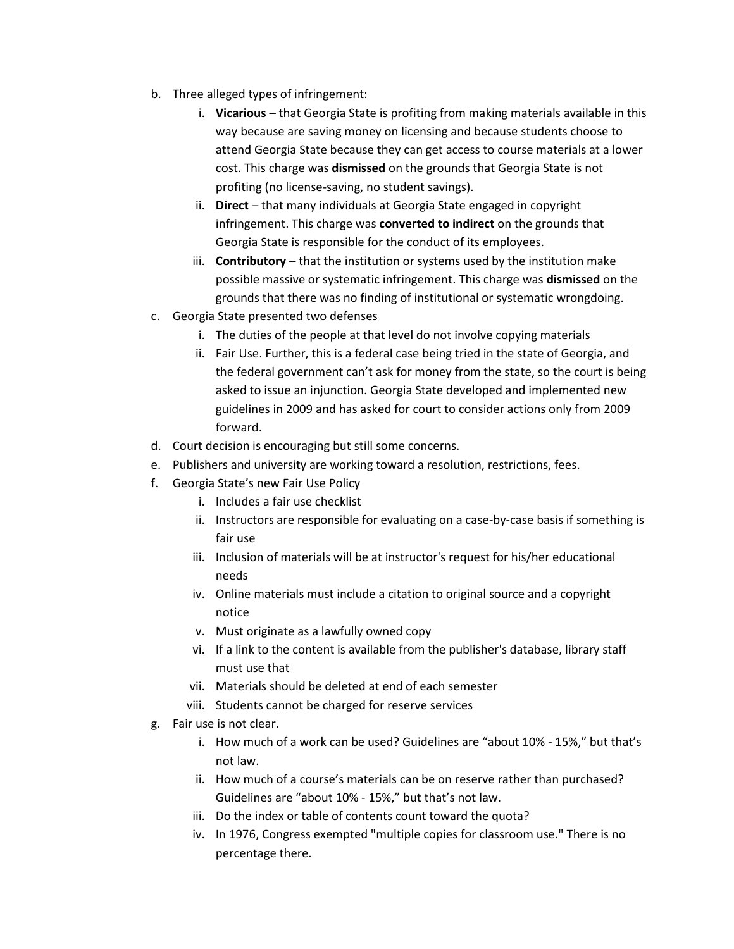- b. Three alleged types of infringement:
	- i. **Vicarious** that Georgia State is profiting from making materials available in this way because are saving money on licensing and because students choose to attend Georgia State because they can get access to course materials at a lower cost. This charge was **dismissed** on the grounds that Georgia State is not profiting (no license-saving, no student savings).
	- ii. **Direct** that many individuals at Georgia State engaged in copyright infringement. This charge was **converted to indirect** on the grounds that Georgia State is responsible for the conduct of its employees.
	- iii. **Contributory** that the institution or systems used by the institution make possible massive or systematic infringement. This charge was **dismissed** on the grounds that there was no finding of institutional or systematic wrongdoing.
- c. Georgia State presented two defenses
	- i. The duties of the people at that level do not involve copying materials
	- ii. Fair Use. Further, this is a federal case being tried in the state of Georgia, and the federal government can't ask for money from the state, so the court is being asked to issue an injunction. Georgia State developed and implemented new guidelines in 2009 and has asked for court to consider actions only from 2009 forward.
- d. Court decision is encouraging but still some concerns.
- e. Publishers and university are working toward a resolution, restrictions, fees.
- f. Georgia State's new Fair Use Policy
	- i. Includes a fair use checklist
	- ii. Instructors are responsible for evaluating on a case-by-case basis if something is fair use
	- iii. Inclusion of materials will be at instructor's request for his/her educational needs
	- iv. Online materials must include a citation to original source and a copyright notice
	- v. Must originate as a lawfully owned copy
	- vi. If a link to the content is available from the publisher's database, library staff must use that
	- vii. Materials should be deleted at end of each semester
	- viii. Students cannot be charged for reserve services
- g. Fair use is not clear.
	- i. How much of a work can be used? Guidelines are "about 10% 15%," but that's not law.
	- ii. How much of a course's materials can be on reserve rather than purchased? Guidelines are "about 10% - 15%," but that's not law.
	- iii. Do the index or table of contents count toward the quota?
	- iv. In 1976, Congress exempted "multiple copies for classroom use." There is no percentage there.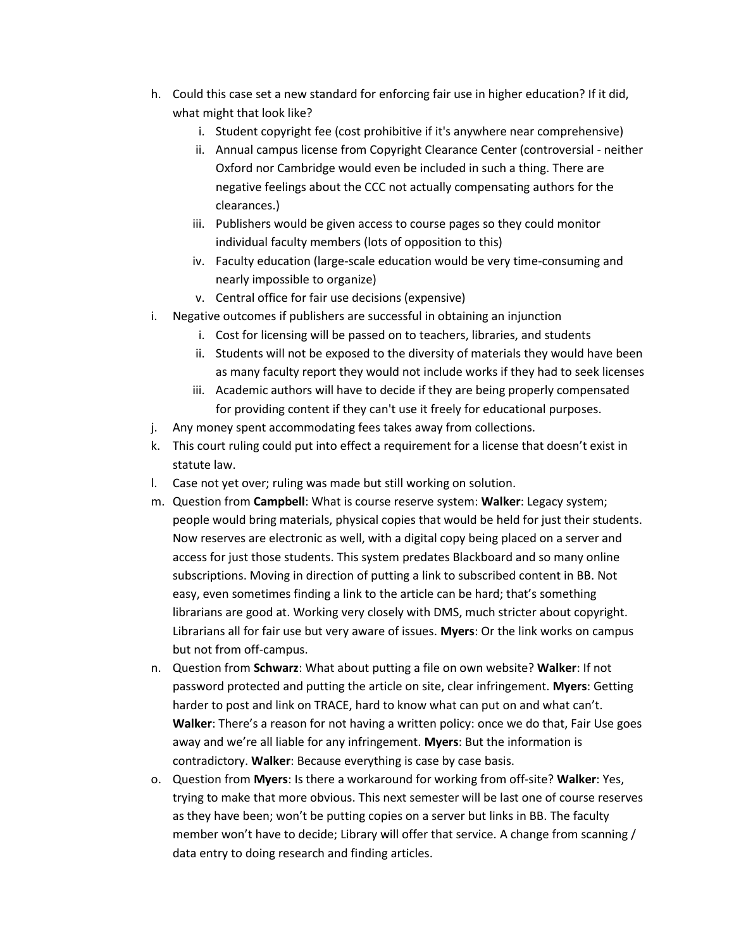- h. Could this case set a new standard for enforcing fair use in higher education? If it did, what might that look like?
	- i. Student copyright fee (cost prohibitive if it's anywhere near comprehensive)
	- ii. Annual campus license from Copyright Clearance Center (controversial neither Oxford nor Cambridge would even be included in such a thing. There are negative feelings about the CCC not actually compensating authors for the clearances.)
	- iii. Publishers would be given access to course pages so they could monitor individual faculty members (lots of opposition to this)
	- iv. Faculty education (large-scale education would be very time-consuming and nearly impossible to organize)
	- v. Central office for fair use decisions (expensive)
- i. Negative outcomes if publishers are successful in obtaining an injunction
	- i. Cost for licensing will be passed on to teachers, libraries, and students
	- ii. Students will not be exposed to the diversity of materials they would have been as many faculty report they would not include works if they had to seek licenses
	- iii. Academic authors will have to decide if they are being properly compensated for providing content if they can't use it freely for educational purposes.
- j. Any money spent accommodating fees takes away from collections.
- k. This court ruling could put into effect a requirement for a license that doesn't exist in statute law.
- l. Case not yet over; ruling was made but still working on solution.
- m. Question from **Campbell**: What is course reserve system: **Walker**: Legacy system; people would bring materials, physical copies that would be held for just their students. Now reserves are electronic as well, with a digital copy being placed on a server and access for just those students. This system predates Blackboard and so many online subscriptions. Moving in direction of putting a link to subscribed content in BB. Not easy, even sometimes finding a link to the article can be hard; that's something librarians are good at. Working very closely with DMS, much stricter about copyright. Librarians all for fair use but very aware of issues. **Myers**: Or the link works on campus but not from off-campus.
- n. Question from **Schwarz**: What about putting a file on own website? **Walker**: If not password protected and putting the article on site, clear infringement. **Myers**: Getting harder to post and link on TRACE, hard to know what can put on and what can't. **Walker**: There's a reason for not having a written policy: once we do that, Fair Use goes away and we're all liable for any infringement. **Myers**: But the information is contradictory. **Walker**: Because everything is case by case basis.
- o. Question from **Myers**: Is there a workaround for working from off-site? **Walker**: Yes, trying to make that more obvious. This next semester will be last one of course reserves as they have been; won't be putting copies on a server but links in BB. The faculty member won't have to decide; Library will offer that service. A change from scanning / data entry to doing research and finding articles.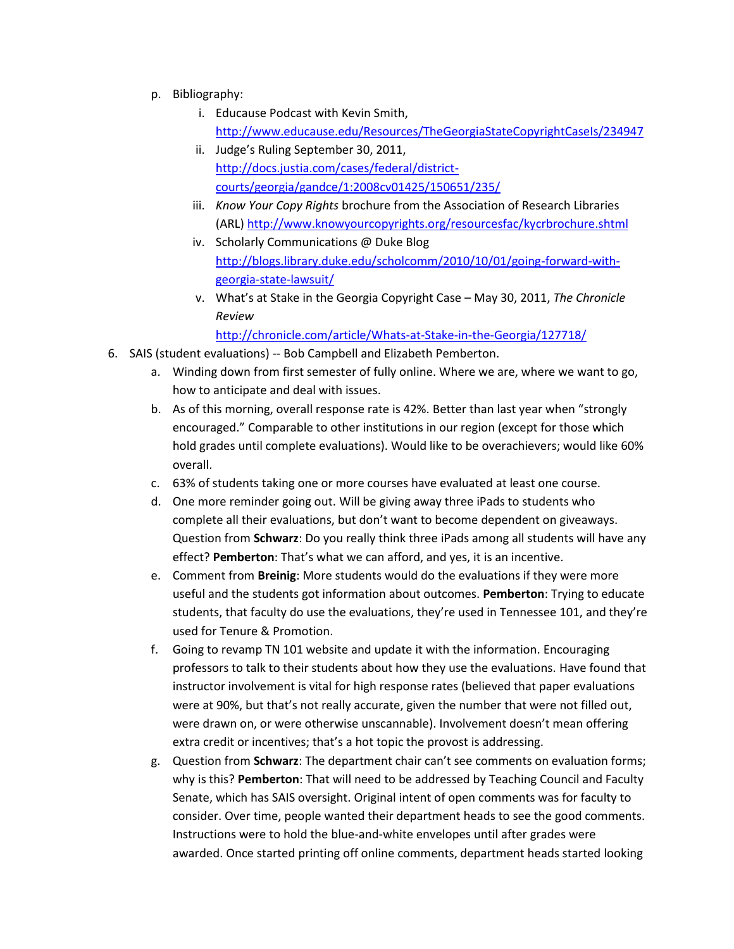- p. Bibliography:
	- i. Educause Podcast with Kevin Smith, <http://www.educause.edu/Resources/TheGeorgiaStateCopyrightCaseIs/234947>
	- ii. Judge's Ruling September 30, 2011, [http://docs.justia.com/cases/federal/district](http://docs.justia.com/cases/federal/district-courts/georgia/gandce/1:2008cv01425/150651/235/)[courts/georgia/gandce/1:2008cv01425/150651/235/](http://docs.justia.com/cases/federal/district-courts/georgia/gandce/1:2008cv01425/150651/235/)
	- iii. *Know Your Copy Rights* brochure from the Association of Research Libraries (ARL)<http://www.knowyourcopyrights.org/resourcesfac/kycrbrochure.shtml>
	- iv. Scholarly Communications @ Duke Blog [http://blogs.library.duke.edu/scholcomm/2010/10/01/going-forward-with](http://blogs.library.duke.edu/scholcomm/2010/10/01/going-forward-with-georgia-state-lawsuit/)[georgia-state-lawsuit/](http://blogs.library.duke.edu/scholcomm/2010/10/01/going-forward-with-georgia-state-lawsuit/)
	- v. What's at Stake in the Georgia Copyright Case May 30, 2011, *The Chronicle Review*

<http://chronicle.com/article/Whats-at-Stake-in-the-Georgia/127718/>

- 6. SAIS (student evaluations) -- Bob Campbell and Elizabeth Pemberton.
	- a. Winding down from first semester of fully online. Where we are, where we want to go, how to anticipate and deal with issues.
	- b. As of this morning, overall response rate is 42%. Better than last year when "strongly encouraged." Comparable to other institutions in our region (except for those which hold grades until complete evaluations). Would like to be overachievers; would like 60% overall.
	- c. 63% of students taking one or more courses have evaluated at least one course.
	- d. One more reminder going out. Will be giving away three iPads to students who complete all their evaluations, but don't want to become dependent on giveaways. Question from **Schwarz**: Do you really think three iPads among all students will have any effect? **Pemberton**: That's what we can afford, and yes, it is an incentive.
	- e. Comment from **Breinig**: More students would do the evaluations if they were more useful and the students got information about outcomes. **Pemberton**: Trying to educate students, that faculty do use the evaluations, they're used in Tennessee 101, and they're used for Tenure & Promotion.
	- f. Going to revamp TN 101 website and update it with the information. Encouraging professors to talk to their students about how they use the evaluations. Have found that instructor involvement is vital for high response rates (believed that paper evaluations were at 90%, but that's not really accurate, given the number that were not filled out, were drawn on, or were otherwise unscannable). Involvement doesn't mean offering extra credit or incentives; that's a hot topic the provost is addressing.
	- g. Question from **Schwarz**: The department chair can't see comments on evaluation forms; why is this? **Pemberton**: That will need to be addressed by Teaching Council and Faculty Senate, which has SAIS oversight. Original intent of open comments was for faculty to consider. Over time, people wanted their department heads to see the good comments. Instructions were to hold the blue-and-white envelopes until after grades were awarded. Once started printing off online comments, department heads started looking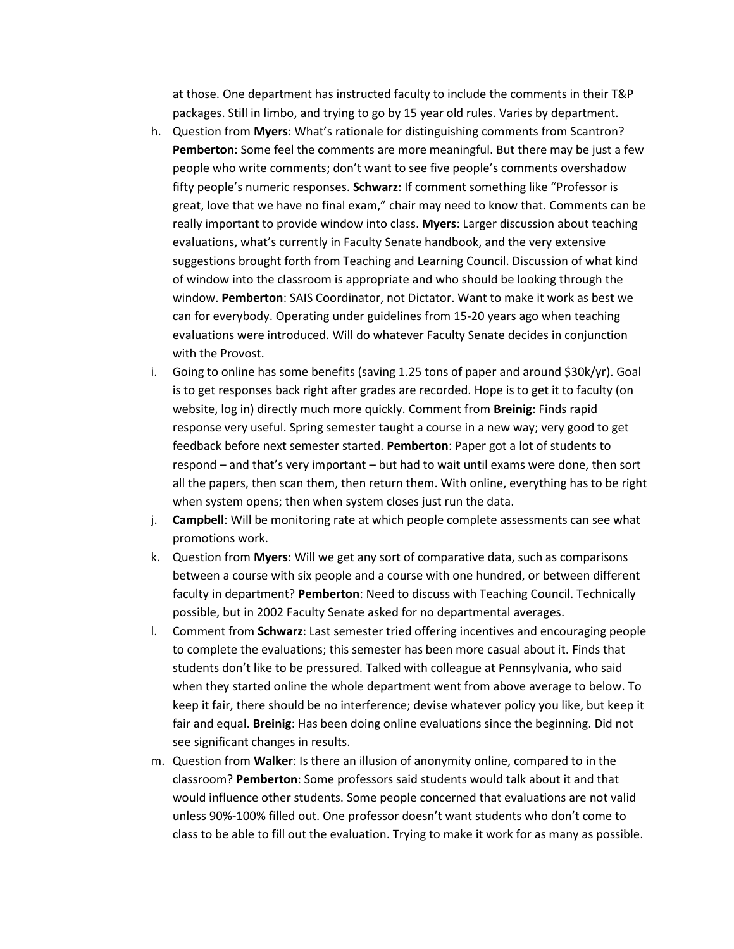at those. One department has instructed faculty to include the comments in their T&P packages. Still in limbo, and trying to go by 15 year old rules. Varies by department.

- h. Question from **Myers**: What's rationale for distinguishing comments from Scantron? **Pemberton**: Some feel the comments are more meaningful. But there may be just a few people who write comments; don't want to see five people's comments overshadow fifty people's numeric responses. **Schwarz**: If comment something like "Professor is great, love that we have no final exam," chair may need to know that. Comments can be really important to provide window into class. **Myers**: Larger discussion about teaching evaluations, what's currently in Faculty Senate handbook, and the very extensive suggestions brought forth from Teaching and Learning Council. Discussion of what kind of window into the classroom is appropriate and who should be looking through the window. **Pemberton**: SAIS Coordinator, not Dictator. Want to make it work as best we can for everybody. Operating under guidelines from 15-20 years ago when teaching evaluations were introduced. Will do whatever Faculty Senate decides in conjunction with the Provost.
- i. Going to online has some benefits (saving 1.25 tons of paper and around \$30k/yr). Goal is to get responses back right after grades are recorded. Hope is to get it to faculty (on website, log in) directly much more quickly. Comment from **Breinig**: Finds rapid response very useful. Spring semester taught a course in a new way; very good to get feedback before next semester started. **Pemberton**: Paper got a lot of students to respond – and that's very important – but had to wait until exams were done, then sort all the papers, then scan them, then return them. With online, everything has to be right when system opens; then when system closes just run the data.
- j. **Campbell**: Will be monitoring rate at which people complete assessments can see what promotions work.
- k. Question from **Myers**: Will we get any sort of comparative data, such as comparisons between a course with six people and a course with one hundred, or between different faculty in department? **Pemberton**: Need to discuss with Teaching Council. Technically possible, but in 2002 Faculty Senate asked for no departmental averages.
- l. Comment from **Schwarz**: Last semester tried offering incentives and encouraging people to complete the evaluations; this semester has been more casual about it. Finds that students don't like to be pressured. Talked with colleague at Pennsylvania, who said when they started online the whole department went from above average to below. To keep it fair, there should be no interference; devise whatever policy you like, but keep it fair and equal. **Breinig**: Has been doing online evaluations since the beginning. Did not see significant changes in results.
- m. Question from **Walker**: Is there an illusion of anonymity online, compared to in the classroom? **Pemberton**: Some professors said students would talk about it and that would influence other students. Some people concerned that evaluations are not valid unless 90%-100% filled out. One professor doesn't want students who don't come to class to be able to fill out the evaluation. Trying to make it work for as many as possible.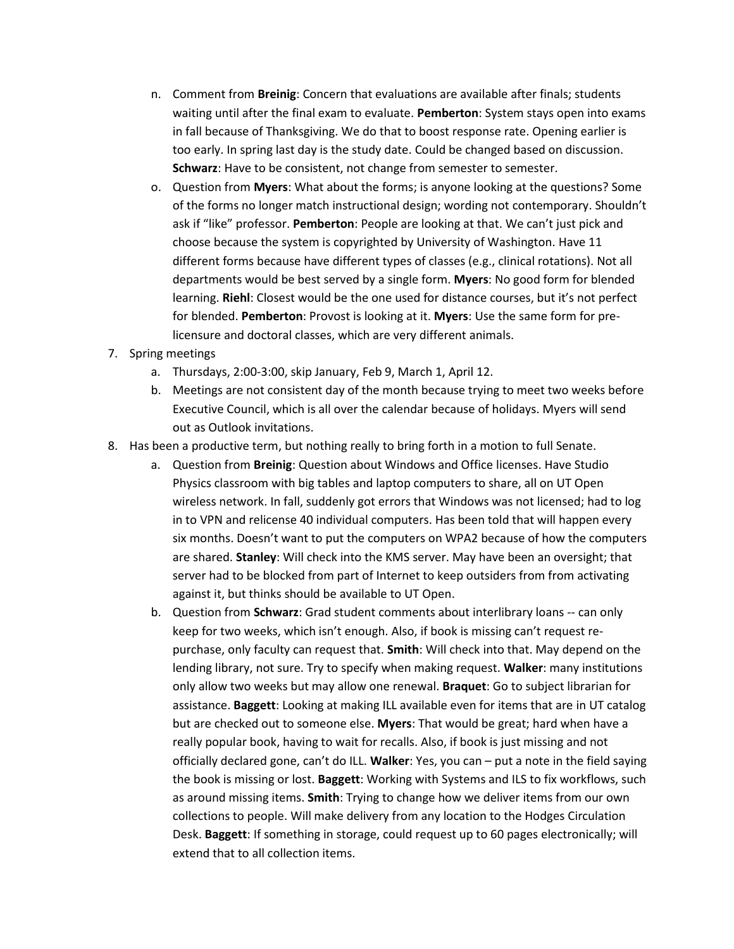- n. Comment from **Breinig**: Concern that evaluations are available after finals; students waiting until after the final exam to evaluate. **Pemberton**: System stays open into exams in fall because of Thanksgiving. We do that to boost response rate. Opening earlier is too early. In spring last day is the study date. Could be changed based on discussion. Schwarz: Have to be consistent, not change from semester to semester.
- o. Question from **Myers**: What about the forms; is anyone looking at the questions? Some of the forms no longer match instructional design; wording not contemporary. Shouldn't ask if "like" professor. **Pemberton**: People are looking at that. We can't just pick and choose because the system is copyrighted by University of Washington. Have 11 different forms because have different types of classes (e.g., clinical rotations). Not all departments would be best served by a single form. **Myers**: No good form for blended learning. **Riehl**: Closest would be the one used for distance courses, but it's not perfect for blended. **Pemberton**: Provost is looking at it. **Myers**: Use the same form for prelicensure and doctoral classes, which are very different animals.
- 7. Spring meetings
	- a. Thursdays, 2:00-3:00, skip January, Feb 9, March 1, April 12.
	- b. Meetings are not consistent day of the month because trying to meet two weeks before Executive Council, which is all over the calendar because of holidays. Myers will send out as Outlook invitations.
- 8. Has been a productive term, but nothing really to bring forth in a motion to full Senate.
	- a. Question from **Breinig**: Question about Windows and Office licenses. Have Studio Physics classroom with big tables and laptop computers to share, all on UT Open wireless network. In fall, suddenly got errors that Windows was not licensed; had to log in to VPN and relicense 40 individual computers. Has been told that will happen every six months. Doesn't want to put the computers on WPA2 because of how the computers are shared. **Stanley**: Will check into the KMS server. May have been an oversight; that server had to be blocked from part of Internet to keep outsiders from from activating against it, but thinks should be available to UT Open.
	- b. Question from **Schwarz**: Grad student comments about interlibrary loans -- can only keep for two weeks, which isn't enough. Also, if book is missing can't request repurchase, only faculty can request that. **Smith**: Will check into that. May depend on the lending library, not sure. Try to specify when making request. **Walker**: many institutions only allow two weeks but may allow one renewal. **Braquet**: Go to subject librarian for assistance. **Baggett**: Looking at making ILL available even for items that are in UT catalog but are checked out to someone else. **Myers**: That would be great; hard when have a really popular book, having to wait for recalls. Also, if book is just missing and not officially declared gone, can't do ILL. **Walker**: Yes, you can – put a note in the field saying the book is missing or lost. **Baggett**: Working with Systems and ILS to fix workflows, such as around missing items. **Smith**: Trying to change how we deliver items from our own collections to people. Will make delivery from any location to the Hodges Circulation Desk. **Baggett**: If something in storage, could request up to 60 pages electronically; will extend that to all collection items.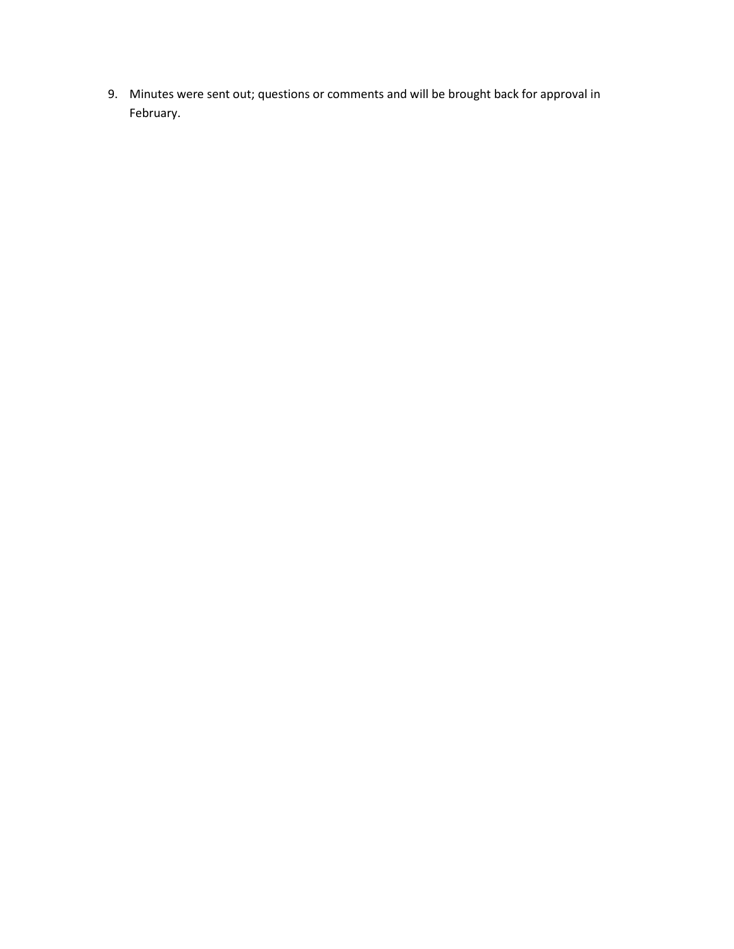9. Minutes were sent out; questions or comments and will be brought back for approval in February.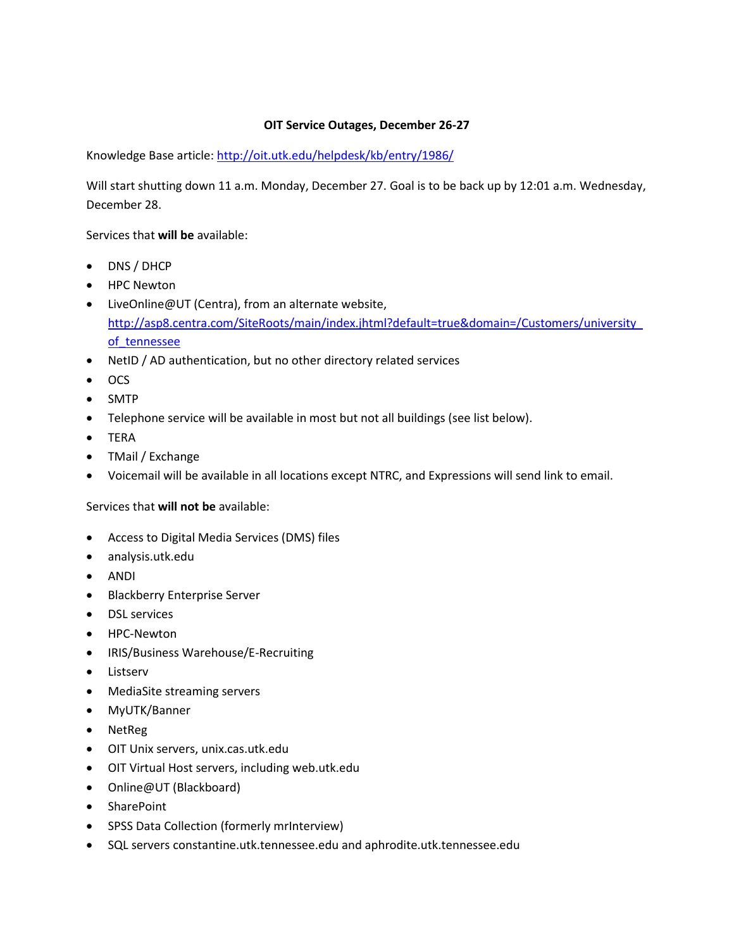## **OIT Service Outages, December 26-27**

Knowledge Base article:<http://oit.utk.edu/helpdesk/kb/entry/1986/>

Will start shutting down 11 a.m. Monday, December 27. Goal is to be back up by 12:01 a.m. Wednesday, December 28.

Services that **will be** available:

- DNS / DHCP
- HPC Newton
- LiveOnline@UT (Centra), from an alternate website, [http://asp8.centra.com/SiteRoots/main/index.jhtml?default=true&domain=/Customers/university\\_](http://asp8.centra.com/SiteRoots/main/index.jhtml?default=true&domain=/Customers/university_of_tennessee) of tennessee
- NetID / AD authentication, but no other directory related services
- $\bullet$  OCS
- SMTP
- Telephone service will be available in most but not all buildings (see list below).
- TERA
- TMail / Exchange
- Voicemail will be available in all locations except NTRC, and Expressions will send link to email.

## Services that **will not be** available:

- Access to Digital Media Services (DMS) files
- analysis.utk.edu
- ANDI
- **•** Blackberry Enterprise Server
- **•** DSL services
- HPC-Newton
- IRIS/Business Warehouse/E-Recruiting
- **•** Listserv
- MediaSite streaming servers
- MyUTK/Banner
- NetReg
- OIT Unix servers, unix.cas.utk.edu
- OIT Virtual Host servers, including web.utk.edu
- Online@UT (Blackboard)
- SharePoint
- SPSS Data Collection (formerly mrInterview)
- SQL servers constantine.utk.tennessee.edu and aphrodite.utk.tennessee.edu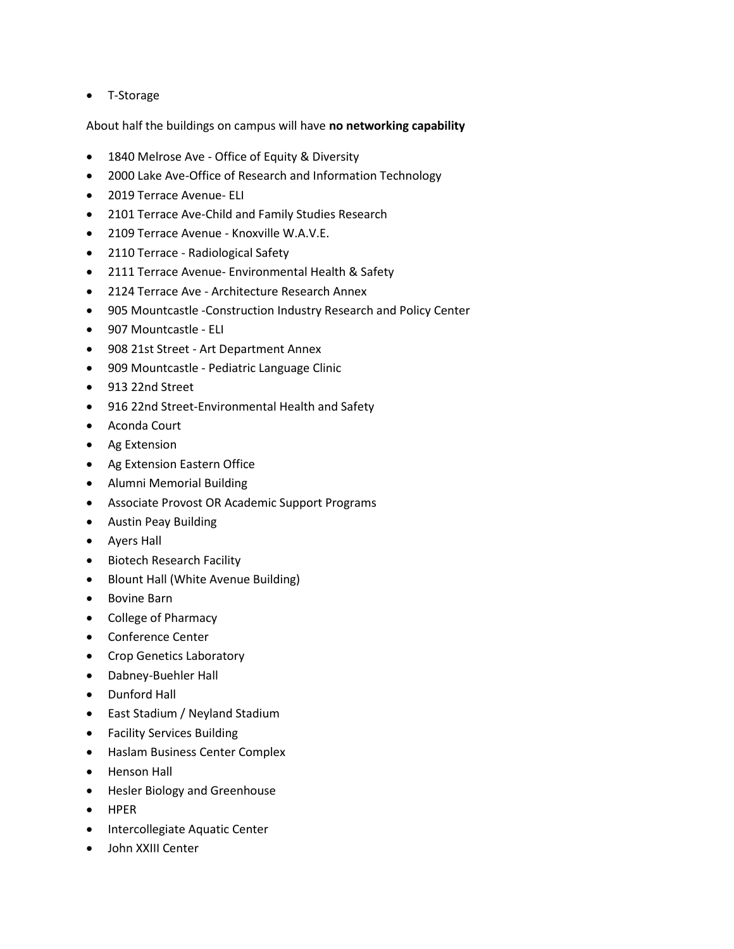T-Storage

About half the buildings on campus will have **no networking capability**

- 1840 Melrose Ave Office of Equity & Diversity
- 2000 Lake Ave-Office of Research and Information Technology
- 2019 Terrace Avenue- ELI
- 2101 Terrace Ave-Child and Family Studies Research
- 2109 Terrace Avenue Knoxville W.A.V.E.
- 2110 Terrace Radiological Safety
- 2111 Terrace Avenue- Environmental Health & Safety
- 2124 Terrace Ave Architecture Research Annex
- 905 Mountcastle -Construction Industry Research and Policy Center
- 907 Mountcastle ELI
- 908 21st Street Art Department Annex
- 909 Mountcastle Pediatric Language Clinic
- 913 22nd Street
- 916 22nd Street-Environmental Health and Safety
- Aconda Court
- Ag Extension
- Ag Extension Eastern Office
- Alumni Memorial Building
- Associate Provost OR Academic Support Programs
- Austin Peay Building
- Ayers Hall
- **•** Biotech Research Facility
- Blount Hall (White Avenue Building)
- Bovine Barn
- College of Pharmacy
- Conference Center
- Crop Genetics Laboratory
- Dabney-Buehler Hall
- Dunford Hall
- East Stadium / Neyland Stadium
- Facility Services Building
- Haslam Business Center Complex
- Henson Hall
- Hesler Biology and Greenhouse
- HPER
- Intercollegiate Aquatic Center
- John XXIII Center